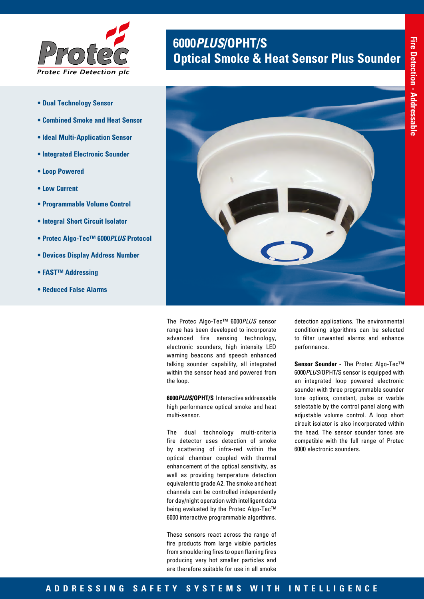

- **Dual Technology Sensor**
- **Combined Smoke and Heat Sensor**
- **Ideal Multi-Application Sensor**
- **Integrated Electronic Sounder**
- **Loop Powered**
- **Low Current**
- **Programmable Volume Control**
- **Integral Short Circuit Isolator**
- **Protec Algo-Tec™ 6000***PLUS* **Protocol**
- **Devices Display Address Number**
- **FAST™ Addressing**
- **Reduced False Alarms**

# **<sup>6000</sup>***PLUS***/OPHT/S** *Protec* **Optical Smoke & Heat Sensor Plus Sounder**



The Protec Algo-Tec™ 6000*PLUS* sensor range has been developed to incorporate advanced fire sensing technology, electronic sounders, high intensity LED warning beacons and speech enhanced talking sounder capability, all integrated within the sensor head and powered from the loop.

**6000***PLUS***/OPHT/S** Interactive addressable high performance optical smoke and heat multi-sensor.

The dual technology multi-criteria fire detector uses detection of smoke by scattering of infra-red within the optical chamber coupled with thermal enhancement of the optical sensitivity, as well as providing temperature detection equivalent to grade A2. The smoke and heat channels can be controlled independently for day/night operation with intelligent data being evaluated by the Protec Algo-Tec™ 6000 interactive programmable algorithms.

These sensors react across the range of fire products from large visible particles from smouldering fires to open flaming fires producing very hot smaller particles and are therefore suitable for use in all smoke

detection applications. The environmental conditioning algorithms can be selected to filter unwanted alarms and enhance performance.

**Sensor Sounder** - The Protec Algo-Tec™ 6000*PLUS*/OPHT/S sensor is equipped with an integrated loop powered electronic sounder with three programmable sounder tone options, constant, pulse or warble selectable by the control panel along with adjustable volume control. A loop short circuit isolator is also incorporated within the head. The sensor sounder tones are compatible with the full range of Protec 6000 electronic sounders.